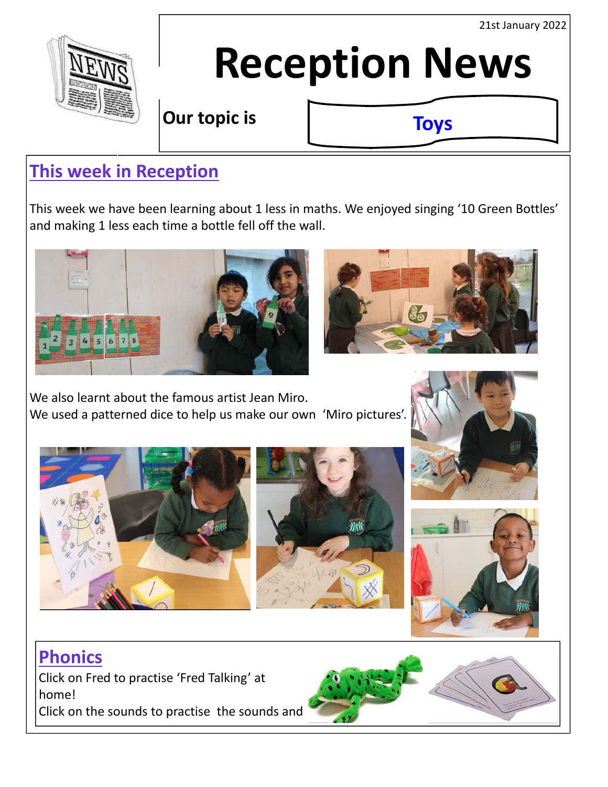21st January 2022



# **Reception News**

**Our topic is** 

**Toys**

## **This week in Reception**

This week we have been learning about 1 less in maths. We enjoyed singing '10 Green Bottles' and making 1 less each time a bottle fell off the wall.





We also learnt about the famous artist Jean Miro. We used a patterned dice to help us make our own 'Miro pictures'.









## **Phonics**

Click on Fred to practise 'Fred Talking' at home! Click on the sounds to practise the sounds and